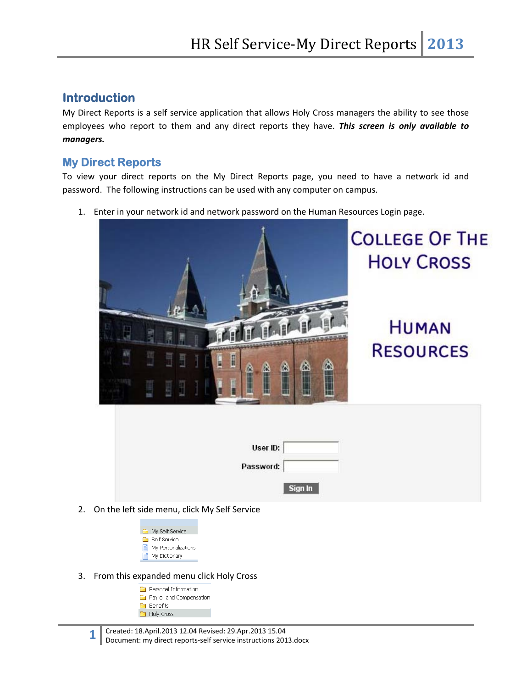# **Introduction**

My Direct Reports is a self service application that allows Holy Cross managers the ability to see those employees who report to them and any direct reports they have. *This screen is only available to managers.* 

## **My Direct Reports**

To view your direct reports on the My Direct Reports page, you need to have a network id and password. The following instructions can be used with any computer on campus.

1. Enter in your network id and network password on the Human Resources Login page.



Sign In

- 2. On the left side menu, click My Self Service
	- My Self Service Self Service My Personalizations My Dictionary

### 3. From this expanded menu click Holy Cross

Personal Information Payroll and Compensation **Benefits** Holy Cross

1 Created: 18.April.2013 12.04 Revised: 29.Apr.2013 15.04<br>Document: my direct reports-self service instructions 2013.docx